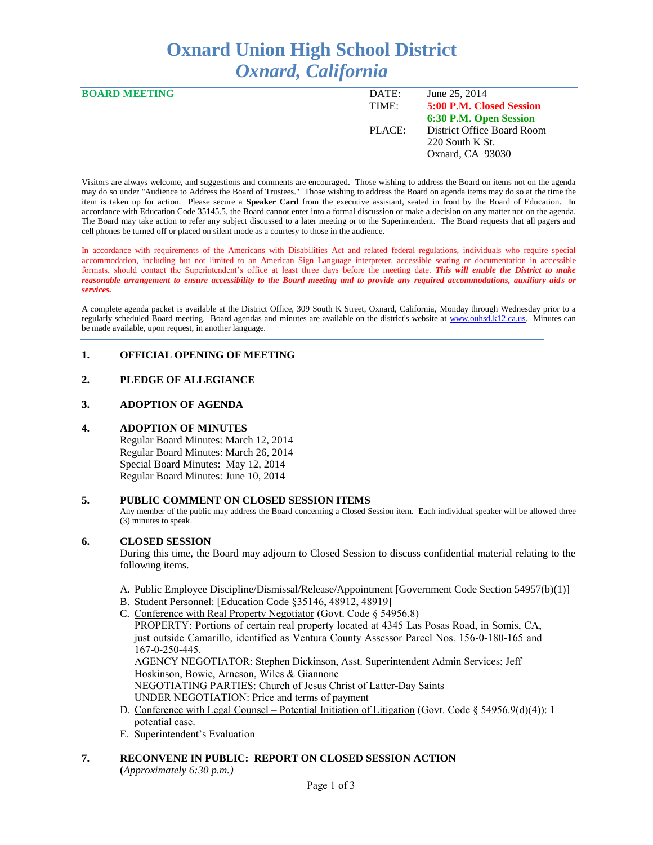# **Oxnard Union High School District** *Oxnard, California*

| <b>BOARD MEETING</b> | DATE:  | June 25, 2014              |
|----------------------|--------|----------------------------|
|                      | TIME:  | 5:00 P.M. Closed Session   |
|                      |        | 6:30 P.M. Open Session     |
|                      | PLACE: | District Office Board Room |
|                      |        | $220$ South K St.          |
|                      |        | Oxnard, CA 93030           |
|                      |        |                            |

Visitors are always welcome, and suggestions and comments are encouraged. Those wishing to address the Board on items not on the agenda may do so under "Audience to Address the Board of Trustees." Those wishing to address the Board on agenda items may do so at the time the item is taken up for action. Please secure a **Speaker Card** from the executive assistant, seated in front by the Board of Education. In accordance with Education Code 35145.5, the Board cannot enter into a formal discussion or make a decision on any matter not on the agenda. The Board may take action to refer any subject discussed to a later meeting or to the Superintendent. The Board requests that all pagers and cell phones be turned off or placed on silent mode as a courtesy to those in the audience.

In accordance with requirements of the Americans with Disabilities Act and related federal regulations, individuals who require special accommodation, including but not limited to an American Sign Language interpreter, accessible seating or documentation in accessible formats, should contact the Superintendent's office at least three days before the meeting date. *This will enable the District to make reasonable arrangement to ensure accessibility to the Board meeting and to provide any required accommodations, auxiliary aids or services.* 

A complete agenda packet is available at the District Office, 309 South K Street, Oxnard, California, Monday through Wednesday prior to a regularly scheduled Board meeting. Board agendas and minutes are available on the district's website at [www.ouhsd.k12.ca.us.](http://www.ouhsd.k12.ca.us/)Minutes can be made available, upon request, in another language.

# **1. OFFICIAL OPENING OF MEETING**

# **2. PLEDGE OF ALLEGIANCE**

# **3. ADOPTION OF AGENDA**

#### **4. ADOPTION OF MINUTES**

Regular Board Minutes: March 12, 2014 Regular Board Minutes: March 26, 2014 Special Board Minutes: May 12, 2014 Regular Board Minutes: June 10, 2014

#### **5. PUBLIC COMMENT ON CLOSED SESSION ITEMS**

Any member of the public may address the Board concerning a Closed Session item. Each individual speaker will be allowed three (3) minutes to speak.

#### **6. CLOSED SESSION**

During this time, the Board may adjourn to Closed Session to discuss confidential material relating to the following items.

- A. Public Employee Discipline/Dismissal/Release/Appointment [Government Code Section 54957(b)(1)]
- B. Student Personnel: [Education Code §35146, 48912, 48919]
- C. Conference with Real Property Negotiator (Govt. Code § 54956.8)
	- PROPERTY: Portions of certain real property located at 4345 Las Posas Road, in Somis, CA, just outside Camarillo, identified as Ventura County Assessor Parcel Nos. 156-0-180-165 and 167-0-250-445. AGENCY NEGOTIATOR: Stephen Dickinson, Asst. Superintendent Admin Services; Jeff Hoskinson, Bowie, Arneson, Wiles & Giannone NEGOTIATING PARTIES: Church of Jesus Christ of Latter-Day Saints UNDER NEGOTIATION: Price and terms of payment
- D. Conference with Legal Counsel Potential Initiation of Litigation (Govt. Code § 54956.9(d)(4)): 1 potential case.
- E. Superintendent's Evaluation
- **7. RECONVENE IN PUBLIC: REPORT ON CLOSED SESSION ACTION**

**(***Approximately 6:30 p.m.)*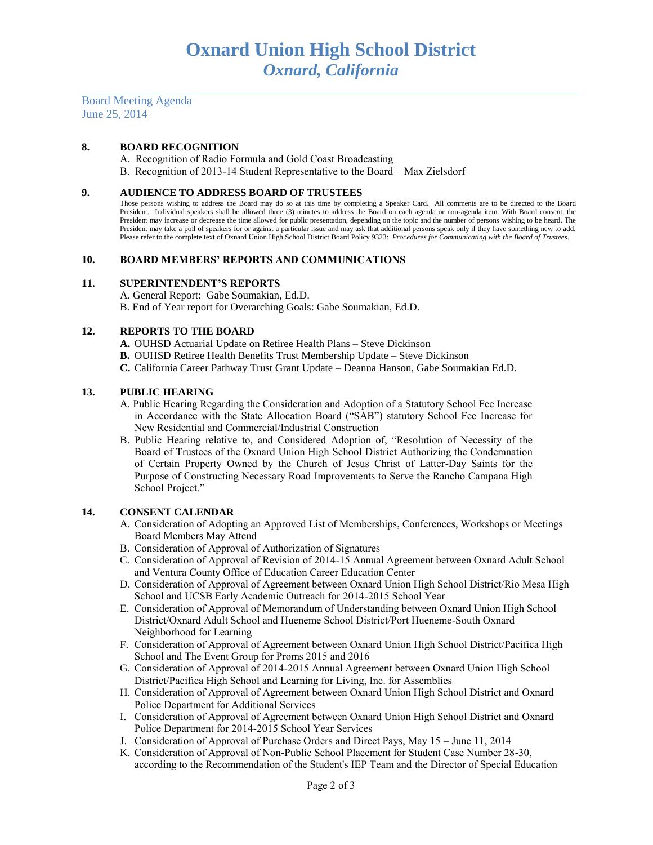Board Meeting Agenda June 25, 2014

# **8. BOARD RECOGNITION**

A. Recognition of Radio Formula and Gold Coast Broadcasting

B. Recognition of 2013-14 Student Representative to the Board – Max Zielsdorf

#### **9. AUDIENCE TO ADDRESS BOARD OF TRUSTEES**

Those persons wishing to address the Board may do so at this time by completing a Speaker Card. All comments are to be directed to the Board President. Individual speakers shall be allowed three (3) minutes to address the Board on each agenda or non-agenda item. With Board consent, the President may increase or decrease the time allowed for public presentation, depending on the topic and the number of persons wishing to be heard. The President may take a poll of speakers for or against a particular issue and may ask that additional persons speak only if they have something new to add. Please refer to the complete text of Oxnard Union High School District Board Policy 9323: *Procedures for Communicating with the Board of Trustees.*

#### **10. BOARD MEMBERS' REPORTS AND COMMUNICATIONS**

#### **11. SUPERINTENDENT'S REPORTS**

A. General Report: Gabe Soumakian, Ed.D.

B. End of Year report for Overarching Goals: Gabe Soumakian, Ed.D.

#### **12. REPORTS TO THE BOARD**

- **A.** OUHSD Actuarial Update on Retiree Health Plans Steve Dickinson
- **B.** OUHSD Retiree Health Benefits Trust Membership Update Steve Dickinson
- **C.** California Career Pathway Trust Grant Update Deanna Hanson, Gabe Soumakian Ed.D.

#### **13. PUBLIC HEARING**

- A. Public Hearing Regarding the Consideration and Adoption of a Statutory School Fee Increase in Accordance with the State Allocation Board ("SAB") statutory School Fee Increase for New Residential and Commercial/Industrial Construction
- B. Public Hearing relative to, and Considered Adoption of, "Resolution of Necessity of the Board of Trustees of the Oxnard Union High School District Authorizing the Condemnation of Certain Property Owned by the Church of Jesus Christ of Latter-Day Saints for the Purpose of Constructing Necessary Road Improvements to Serve the Rancho Campana High School Project."

# **14. CONSENT CALENDAR**

- A. Consideration of Adopting an Approved List of Memberships, Conferences, Workshops or Meetings Board Members May Attend
- B. Consideration of Approval of Authorization of Signatures
- C. Consideration of Approval of Revision of 2014-15 Annual Agreement between Oxnard Adult School and Ventura County Office of Education Career Education Center
- D. Consideration of Approval of Agreement between Oxnard Union High School District/Rio Mesa High School and UCSB Early Academic Outreach for 2014-2015 School Year
- E. Consideration of Approval of Memorandum of Understanding between Oxnard Union High School District/Oxnard Adult School and Hueneme School District/Port Hueneme-South Oxnard Neighborhood for Learning
- F. Consideration of Approval of Agreement between Oxnard Union High School District/Pacifica High School and The Event Group for Proms 2015 and 2016
- G. Consideration of Approval of 2014-2015 Annual Agreement between Oxnard Union High School District/Pacifica High School and Learning for Living, Inc. for Assemblies
- H. Consideration of Approval of Agreement between Oxnard Union High School District and Oxnard Police Department for Additional Services
- I. Consideration of Approval of Agreement between Oxnard Union High School District and Oxnard Police Department for 2014-2015 School Year Services
- J. Consideration of Approval of Purchase Orders and Direct Pays, May 15 June 11, 2014
- K. Consideration of Approval of Non-Public School Placement for Student Case Number 28-30, according to the Recommendation of the Student's IEP Team and the Director of Special Education